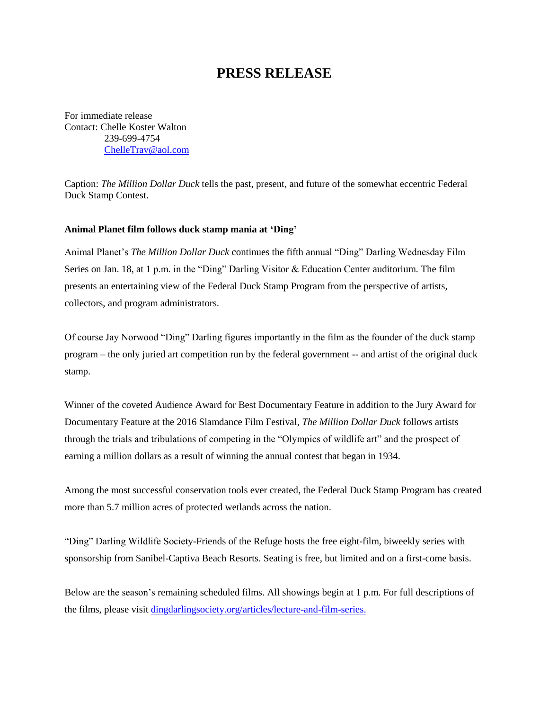## **PRESS RELEASE**

For immediate release Contact: Chelle Koster Walton 239-699-4754 [ChelleTrav@aol.com](mailto:ChelleTrav@aol.com)

Caption: *The Million Dollar Duck* tells the past, present, and future of the somewhat eccentric Federal Duck Stamp Contest.

## **Animal Planet film follows duck stamp mania at 'Ding'**

Animal Planet's *The Million Dollar Duck* continues the fifth annual "Ding" Darling Wednesday Film Series on Jan. 18, at 1 p.m. in the "Ding" Darling Visitor & Education Center auditorium. The film presents an entertaining view of the Federal Duck Stamp Program from the perspective of artists, collectors, and program administrators.

Of course Jay Norwood "Ding" Darling figures importantly in the film as the founder of the duck stamp program – the only juried art competition run by the federal government -- and artist of the original duck stamp.

Winner of the coveted Audience Award for Best Documentary Feature in addition to the Jury Award for Documentary Feature at the 2016 Slamdance Film Festival, *The Million Dollar Duck* follows artists through the trials and tribulations of competing in the "Olympics of wildlife art" and the prospect of earning a million dollars as a result of winning the annual contest that began in 1934.

Among the most successful conservation tools ever created, the Federal Duck Stamp Program has created more than 5.7 million acres of protected wetlands across the nation.

"Ding" Darling Wildlife Society-Friends of the Refuge hosts the free eight-film, biweekly series with sponsorship from Sanibel-Captiva Beach Resorts. Seating is free, but limited and on a first-come basis.

Below are the season's remaining scheduled films. All showings begin at 1 p.m. For full descriptions of the films, please visit [dingdarlingsociety.org/articles/lecture-and-film-series.](http://www.dingdarlingsociety.org/films)